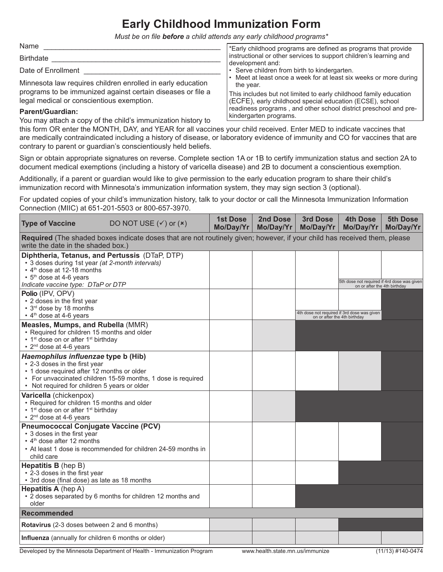## **Early Childhood Immunization Form**

*Must be on file before a child attends any early childhood programs\** 

Name \_\_\_\_\_\_\_\_\_\_\_\_\_\_\_\_\_\_\_\_\_\_\_\_\_\_\_\_\_\_\_\_\_\_\_\_\_\_\_\_\_\_\_\_

Birthdate

Date of Enrollment

Minnesota law requires children enrolled in early education programs to be immunized against certain diseases or file a legal medical or conscientious exemption.

## **Parent/Guardian:**

You may attach a copy of the child's immunization history to

\*Early childhood programs are defined as programs that provide instructional or other services to support children's learning and development and:

- Serve children from birth to kindergarten.
- Meet at least once a week for at least six weeks or more during the year.

This includes but not limited to early childhood family education (ECFE), early childhood special education (ECSE), school readiness programs , and other school district preschool and prekindergarten programs.

this form OR enter the MONTH, DAY, and YEAR for all vaccines your child received. Enter MED to indicate vaccines that are medically contraindicated including a history of disease, or laboratory evidence of immunity and CO for vaccines that are contrary to parent or guardian's conscientiously held beliefs.

Sign or obtain appropriate signatures on reverse. Complete section 1A or 1B to certify immunization status and section 2A to document medical exemptions (including a history of varicella disease) and 2B to document a conscientious exemption.

Additionally, if a parent or guardian would like to give permission to the early education program to share their child's immunization record with Minnesota's immunization information system, they may sign section 3 (optional).

For updated copies of your child's immunization history, talk to your doctor or call the Minnesota Immunization Information Connection (MIIC) at 651-201-5503 or 800-657-3970.

| <b>Type of Vaccine</b>                                                                                                                                                                                                             | DO NOT USE $({\checkmark})$ or $({\checkmark})$               | <b>1st Dose</b><br>Mo/Day/Yr | 2nd Dose<br>Mo/Day/Yr | 3rd Dose<br>Mo/Day/Yr | <b>4th Dose</b><br>Mo/Day/Yr                                                | 5th Dose<br>Mo/Day/Yr |  |
|------------------------------------------------------------------------------------------------------------------------------------------------------------------------------------------------------------------------------------|---------------------------------------------------------------|------------------------------|-----------------------|-----------------------|-----------------------------------------------------------------------------|-----------------------|--|
| Required (The shaded boxes indicate doses that are not routinely given; however, if your child has received them, please<br>write the date in the shaded box.)                                                                     |                                                               |                              |                       |                       |                                                                             |                       |  |
| Diphtheria, Tetanus, and Pertussis (DTaP, DTP)<br>• 3 doses during 1st year (at 2-month intervals)<br>• 4 <sup>th</sup> dose at 12-18 months<br>• 5 <sup>th</sup> dose at 4-6 years                                                |                                                               |                              |                       |                       | 5th dose not required if 4rd dose was given<br>on or after the 4th birthday |                       |  |
| Indicate vaccine type: DTaP or DTP<br>Polio (IPV, OPV)<br>• 2 doses in the first year<br>• 3rd dose by 18 months<br>• 4 <sup>th</sup> dose at 4-6 years                                                                            |                                                               |                              |                       |                       | 4th dose not required if 3rd dose was given<br>on or after the 4th birthday |                       |  |
| Measles, Mumps, and Rubella (MMR)<br>• Required for children 15 months and older<br>• 1 <sup>st</sup> dose on or after 1 <sup>st</sup> birthday<br>• 2 <sup>nd</sup> dose at 4-6 years                                             |                                                               |                              |                       |                       |                                                                             |                       |  |
| Haemophilus influenzae type b (Hib)<br>• 2-3 doses in the first year<br>• 1 dose required after 12 months or older<br>• For unvaccinated children 15-59 months, 1 dose is required<br>• Not required for children 5 years or older |                                                               |                              |                       |                       |                                                                             |                       |  |
| Varicella (chickenpox)<br>• Required for children 15 months and older<br>• 1 <sup>st</sup> dose on or after 1 <sup>st</sup> birthday<br>• 2 <sup>nd</sup> dose at 4-6 years                                                        |                                                               |                              |                       |                       |                                                                             |                       |  |
| <b>Pneumococcal Conjugate Vaccine (PCV)</b><br>• 3 doses in the first year<br>• 4 <sup>th</sup> dose after 12 months<br>child care                                                                                                 | • At least 1 dose is recommended for children 24-59 months in |                              |                       |                       |                                                                             |                       |  |
| Hepatitis B (hep B)<br>• 2-3 doses in the first year<br>• 3rd dose (final dose) as late as 18 months                                                                                                                               |                                                               |                              |                       |                       |                                                                             |                       |  |
| <b>Hepatitis A</b> (hep A)<br>• 2 doses separated by 6 months for children 12 months and<br>older                                                                                                                                  |                                                               |                              |                       |                       |                                                                             |                       |  |
| <b>Recommended</b>                                                                                                                                                                                                                 |                                                               |                              |                       |                       |                                                                             |                       |  |
| Rotavirus (2-3 doses between 2 and 6 months)                                                                                                                                                                                       |                                                               |                              |                       |                       |                                                                             |                       |  |
| Influenza (annually for children 6 months or older)                                                                                                                                                                                |                                                               |                              |                       |                       |                                                                             |                       |  |
| (11/13) #140-0474<br>Developed by the Minnesota Department of Health - Immunization Program<br>www.health.state.mn.us/immunize                                                                                                     |                                                               |                              |                       |                       |                                                                             |                       |  |